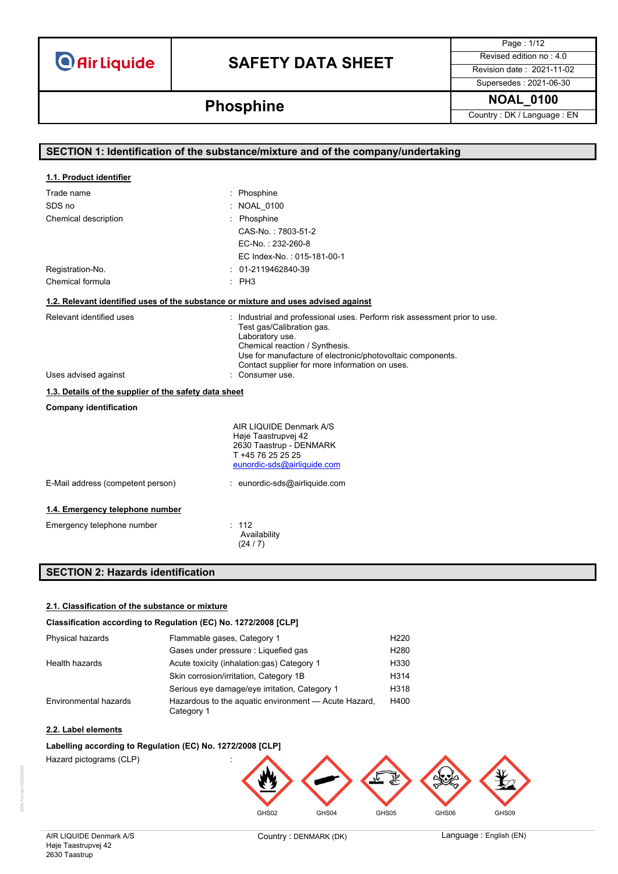## **SAFETY DATA SHEET** Revised edition no : 4.0

Page : 1/12 Supersedes : 2021-06-30

**Phosphine Phosphine Phosphine Phosphine Phosphine Phosphine Phosphine Country**: DK / Language : EN

| SECTION 1: Identification of the substance/mixture and of the company/undertaking  |                                                                                                                                                                                                                                                                             |  |
|------------------------------------------------------------------------------------|-----------------------------------------------------------------------------------------------------------------------------------------------------------------------------------------------------------------------------------------------------------------------------|--|
|                                                                                    |                                                                                                                                                                                                                                                                             |  |
| 1.1. Product identifier                                                            |                                                                                                                                                                                                                                                                             |  |
| Trade name                                                                         | : Phosphine                                                                                                                                                                                                                                                                 |  |
| SDS no                                                                             | <b>NOAL 0100</b>                                                                                                                                                                                                                                                            |  |
| Chemical description                                                               | Phosphine                                                                                                                                                                                                                                                                   |  |
|                                                                                    | CAS-No.: 7803-51-2                                                                                                                                                                                                                                                          |  |
|                                                                                    | EC-No.: 232-260-8                                                                                                                                                                                                                                                           |  |
|                                                                                    | EC Index-No.: 015-181-00-1                                                                                                                                                                                                                                                  |  |
| Registration-No.                                                                   | 01-2119462840-39                                                                                                                                                                                                                                                            |  |
| Chemical formula                                                                   | : PH3                                                                                                                                                                                                                                                                       |  |
| 1.2. Relevant identified uses of the substance or mixture and uses advised against |                                                                                                                                                                                                                                                                             |  |
| Relevant identified uses                                                           | : Industrial and professional uses. Perform risk assessment prior to use.<br>Test gas/Calibration gas.<br>Laboratory use.<br>Chemical reaction / Synthesis.<br>Use for manufacture of electronic/photovoltaic components.<br>Contact supplier for more information on uses. |  |
| Uses advised against                                                               | Consumer use.                                                                                                                                                                                                                                                               |  |
| 1.3. Details of the supplier of the safety data sheet                              |                                                                                                                                                                                                                                                                             |  |
| <b>Company identification</b>                                                      |                                                                                                                                                                                                                                                                             |  |
|                                                                                    | AIR LIQUIDE Denmark A/S<br>Høje Taastrupvej 42<br>2630 Taastrup - DENMARK<br>T +45 76 25 25 25<br>eunordic-sds@airliquide.com                                                                                                                                               |  |
| E-Mail address (competent person)                                                  | : eunordic-sds@airliquide.com                                                                                                                                                                                                                                               |  |
| 1.4. Emergency telephone number                                                    |                                                                                                                                                                                                                                                                             |  |
| Emergency telephone number                                                         | : 112<br>Availability<br>(24/7)                                                                                                                                                                                                                                             |  |

### **SECTION 2: Hazards identification**

### **2.1. Classification of the substance or mixture**

#### **Classification according to Regulation (EC) No. 1272/2008 [CLP]**

| Physical hazards      | Flammable gases, Category 1                                        | H <sub>220</sub> |
|-----------------------|--------------------------------------------------------------------|------------------|
|                       | Gases under pressure : Liquefied gas                               | H <sub>280</sub> |
| Health hazards        | Acute toxicity (inhalation.gas) Category 1                         | H330             |
|                       | Skin corrosion/irritation, Category 1B                             | H314             |
|                       | Serious eye damage/eye irritation, Category 1                      | H318             |
| Environmental hazards | Hazardous to the aquatic environment - Acute Hazard,<br>Category 1 | H400             |

#### **2.2. Label elements**

#### **Labelling according to Regulation (EC) No. 1272/2008 [CLP]**

Hazard pictograms (CLP) :

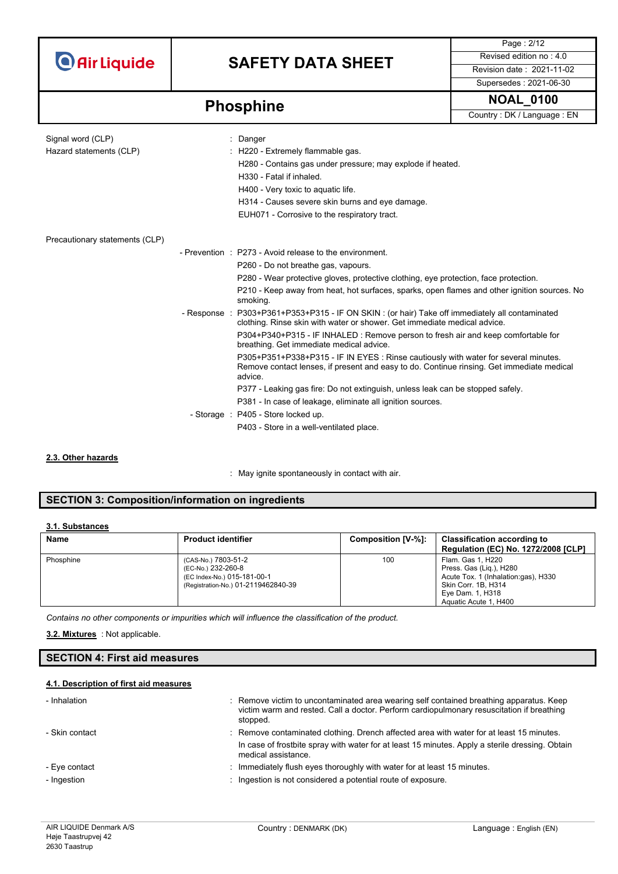## **SAFETY DATA SHEET** Revised edition no : 4.0

Supersedes : 2021-06-30

Page : 2/12

**Phosphine Phosphine Phosphine Phosphine Phosphine Phosphine Phosphine Country**: DK / Language : EN

| Signal word (CLP)<br>Hazard statements (CLP) | Danger<br>: H220 - Extremely flammable gas.<br>H280 - Contains gas under pressure; may explode if heated.<br>H330 - Fatal if inhaled.<br>H400 - Very toxic to aquatic life.<br>H314 - Causes severe skin burns and eye damage.<br>EUH071 - Corrosive to the respiratory tract. |
|----------------------------------------------|--------------------------------------------------------------------------------------------------------------------------------------------------------------------------------------------------------------------------------------------------------------------------------|
| Precautionary statements (CLP)               |                                                                                                                                                                                                                                                                                |
|                                              | - Prevention : P273 - Avoid release to the environment.                                                                                                                                                                                                                        |
|                                              | P260 - Do not breathe gas, vapours.                                                                                                                                                                                                                                            |
|                                              | P280 - Wear protective gloves, protective clothing, eye protection, face protection.                                                                                                                                                                                           |
|                                              | P210 - Keep away from heat, hot surfaces, sparks, open flames and other ignition sources. No<br>smoking.                                                                                                                                                                       |
|                                              | - Response : P303+P361+P353+P315 - IF ON SKIN : (or hair) Take off immediately all contaminated<br>clothing. Rinse skin with water or shower. Get immediate medical advice.                                                                                                    |
|                                              | P304+P340+P315 - IF INHALED : Remove person to fresh air and keep comfortable for<br>breathing. Get immediate medical advice.                                                                                                                                                  |
|                                              | P305+P351+P338+P315 - IF IN EYES : Rinse cautiously with water for several minutes.<br>Remove contact lenses, if present and easy to do. Continue rinsing. Get immediate medical<br>advice.                                                                                    |
|                                              | P377 - Leaking gas fire: Do not extinguish, unless leak can be stopped safely.                                                                                                                                                                                                 |
|                                              | P381 - In case of leakage, eliminate all ignition sources.                                                                                                                                                                                                                     |
|                                              | - Storage : P405 - Store locked up.                                                                                                                                                                                                                                            |
|                                              | P403 - Store in a well-ventilated place.                                                                                                                                                                                                                                       |

#### **2.3. Other hazards**

: May ignite spontaneously in contact with air.

### **SECTION 3: Composition/information on ingredients**

### **3.1. Substances**

| <b>Name</b> | <b>Product identifier</b>                                                                                       | Composition [V-%]: | <b>Classification according to</b><br><b>Regulation (EC) No. 1272/2008 [CLP]</b>                                                                        |
|-------------|-----------------------------------------------------------------------------------------------------------------|--------------------|---------------------------------------------------------------------------------------------------------------------------------------------------------|
| Phosphine   | (CAS-No.) 7803-51-2<br>(EC-No.) 232-260-8<br>(EC Index-No.) 015-181-00-1<br>(Registration-No.) 01-2119462840-39 | 100                | Flam. Gas 1, H220<br>Press. Gas (Lig.), H280<br>Acute Tox. 1 (Inhalation:gas), H330<br>Skin Corr. 1B, H314<br>Eye Dam. 1, H318<br>Aquatic Acute 1, H400 |

*Contains no other components or impurities which will influence the classification of the product.*

: Not applicable. **3.2. Mixtures**

### **SECTION 4: First aid measures**

#### **4.1. Description of first aid measures**

| - Inhalation                 | : Remove victim to uncontaminated area wearing self contained breathing apparatus. Keep<br>victim warm and rested. Call a doctor. Perform cardiopulmonary resuscitation if breathing<br>stopped.                   |
|------------------------------|--------------------------------------------------------------------------------------------------------------------------------------------------------------------------------------------------------------------|
| - Skin contact               | : Remove contaminated clothing. Drench affected area with water for at least 15 minutes.<br>In case of frostbite spray with water for at least 15 minutes. Apply a sterile dressing. Obtain<br>medical assistance. |
| - Eye contact<br>- Ingestion | : Immediately flush eyes thoroughly with water for at least 15 minutes.<br>Ingestion is not considered a potential route of exposure.                                                                              |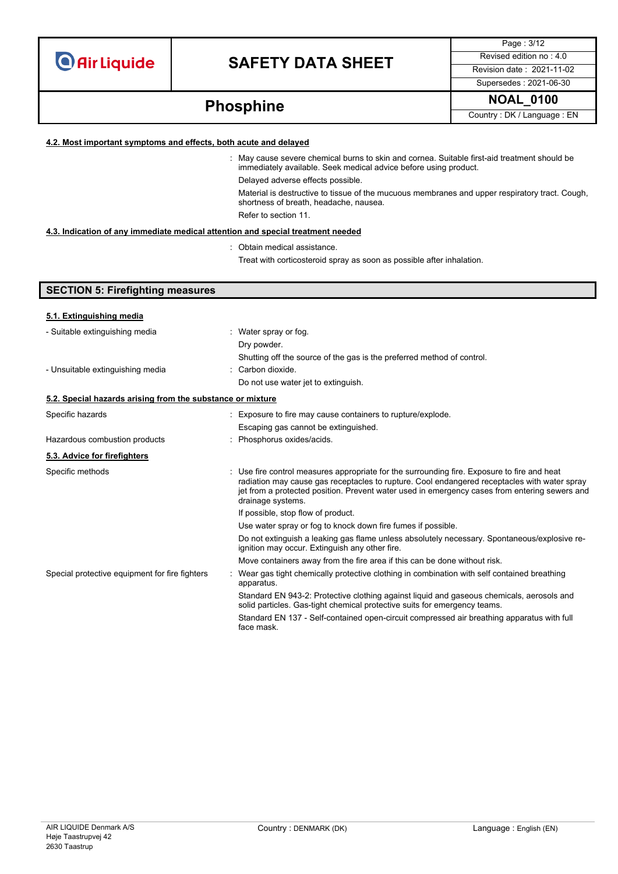## **SAFETY DATA SHEET** Revised edition no : 4.0

Page : 3/12 Supersedes : 2021-06-30

# **Phosphine Phosphine Phosphine Phosphine Phosphine Phosphine Phosphine Country**: DK / Language : EN

### **4.2. Most important symptoms and effects, both acute and delayed**

: May cause severe chemical burns to skin and cornea. Suitable first-aid treatment should be immediately available. Seek medical advice before using product. Delayed adverse effects possible.

Material is destructive to tissue of the mucuous membranes and upper respiratory tract. Cough, shortness of breath, headache, nausea. Refer to section 11.

### **4.3. Indication of any immediate medical attention and special treatment needed**

: Obtain medical assistance.

Treat with corticosteroid spray as soon as possible after inhalation.

| <b>SECTION 5: Firefighting measures</b>                    |                                                                                                                                                                                                                                                                                                                 |  |
|------------------------------------------------------------|-----------------------------------------------------------------------------------------------------------------------------------------------------------------------------------------------------------------------------------------------------------------------------------------------------------------|--|
| 5.1. Extinguishing media                                   |                                                                                                                                                                                                                                                                                                                 |  |
| - Suitable extinguishing media                             | : Water spray or fog.<br>Dry powder.<br>Shutting off the source of the gas is the preferred method of control.                                                                                                                                                                                                  |  |
| - Unsuitable extinguishing media                           | $\cdot$ Carbon dioxide<br>Do not use water jet to extinguish.                                                                                                                                                                                                                                                   |  |
| 5.2. Special hazards arising from the substance or mixture |                                                                                                                                                                                                                                                                                                                 |  |
| Specific hazards                                           | : Exposure to fire may cause containers to rupture/explode.<br>Escaping gas cannot be extinguished.                                                                                                                                                                                                             |  |
| Hazardous combustion products                              | Phosphorus oxides/acids.                                                                                                                                                                                                                                                                                        |  |
| 5.3. Advice for firefighters                               |                                                                                                                                                                                                                                                                                                                 |  |
| Specific methods                                           | Use fire control measures appropriate for the surrounding fire. Exposure to fire and heat<br>radiation may cause gas receptacles to rupture. Cool endangered receptacles with water spray<br>jet from a protected position. Prevent water used in emergency cases from entering sewers and<br>drainage systems. |  |
|                                                            | If possible, stop flow of product.                                                                                                                                                                                                                                                                              |  |
|                                                            | Use water spray or fog to knock down fire fumes if possible.                                                                                                                                                                                                                                                    |  |
|                                                            | Do not extinguish a leaking gas flame unless absolutely necessary. Spontaneous/explosive re-<br>ignition may occur. Extinguish any other fire.                                                                                                                                                                  |  |
|                                                            | Move containers away from the fire area if this can be done without risk.                                                                                                                                                                                                                                       |  |
| Special protective equipment for fire fighters             | Wear gas tight chemically protective clothing in combination with self contained breathing<br>apparatus.                                                                                                                                                                                                        |  |
|                                                            | Standard EN 943-2: Protective clothing against liquid and gaseous chemicals, aerosols and<br>solid particles. Gas-tight chemical protective suits for emergency teams.                                                                                                                                          |  |
|                                                            | Standard EN 137 - Self-contained open-circuit compressed air breathing apparatus with full<br>face mask.                                                                                                                                                                                                        |  |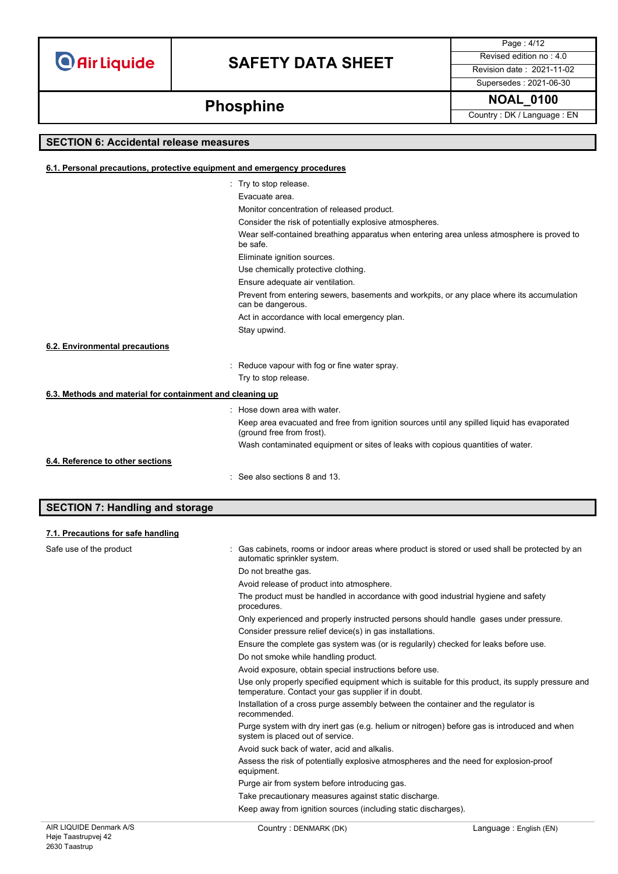### **SAFETY DATA SHEET** Revised edition no : 4.0

Page : 4/12 Supersedes : 2021-06-30

# **Phosphine Phosphine Phosphine Phosphine Phosphine Phosphine Phosphine Country**: DK/Language : EN

### **SECTION 6: Accidental release measures**

### **6.1. Personal precautions, protective equipment and emergency procedures** : Try to stop release. Evacuate area. Monitor concentration of released product. Consider the risk of potentially explosive atmospheres. Wear self-contained breathing apparatus when entering area unless atmosphere is proved to be safe. Eliminate ignition sources. Use chemically protective clothing. Ensure adequate air ventilation. Prevent from entering sewers, basements and workpits, or any place where its accumulation can be dangerous. Act in accordance with local emergency plan. Stay upwind. : Reduce vapour with fog or fine water spray. Try to stop release. **6.3. Methods and material for containment and cleaning up** : Hose down area with water. Keep area evacuated and free from ignition sources until any spilled liquid has evaporated (ground free from frost). Wash contaminated equipment or sites of leaks with copious quantities of water. : See also sections 8 and 13. **6.2. Environmental precautions 6.4. Reference to other sections**

### **SECTION 7: Handling and storage**

| 7.1. Precautions for safe handling |                                                                                                                                                                                                                     |                                                                                                                                                                                                                                                                      |  |                                                                                                   |
|------------------------------------|---------------------------------------------------------------------------------------------------------------------------------------------------------------------------------------------------------------------|----------------------------------------------------------------------------------------------------------------------------------------------------------------------------------------------------------------------------------------------------------------------|--|---------------------------------------------------------------------------------------------------|
| Safe use of the product            | automatic sprinkler system.                                                                                                                                                                                         | Gas cabinets, rooms or indoor areas where product is stored or used shall be protected by an<br>Do not breathe gas.<br>Avoid release of product into atmosphere.<br>The product must be handled in accordance with good industrial hygiene and safety<br>procedures. |  |                                                                                                   |
|                                    |                                                                                                                                                                                                                     |                                                                                                                                                                                                                                                                      |  |                                                                                                   |
|                                    |                                                                                                                                                                                                                     |                                                                                                                                                                                                                                                                      |  |                                                                                                   |
|                                    |                                                                                                                                                                                                                     |                                                                                                                                                                                                                                                                      |  |                                                                                                   |
|                                    | Only experienced and properly instructed persons should handle gases under pressure.                                                                                                                                |                                                                                                                                                                                                                                                                      |  |                                                                                                   |
|                                    |                                                                                                                                                                                                                     | Consider pressure relief device(s) in gas installations.                                                                                                                                                                                                             |  |                                                                                                   |
|                                    | Ensure the complete gas system was (or is regularily) checked for leaks before use.                                                                                                                                 |                                                                                                                                                                                                                                                                      |  |                                                                                                   |
|                                    | Do not smoke while handling product.                                                                                                                                                                                |                                                                                                                                                                                                                                                                      |  |                                                                                                   |
|                                    | Avoid exposure, obtain special instructions before use.<br>Use only properly specified equipment which is suitable for this product, its supply pressure and<br>temperature. Contact your gas supplier if in doubt. |                                                                                                                                                                                                                                                                      |  |                                                                                                   |
|                                    |                                                                                                                                                                                                                     |                                                                                                                                                                                                                                                                      |  | Installation of a cross purge assembly between the container and the regulator is<br>recommended. |
|                                    | Purge system with dry inert gas (e.g. helium or nitrogen) before gas is introduced and when<br>system is placed out of service.                                                                                     |                                                                                                                                                                                                                                                                      |  |                                                                                                   |
|                                    |                                                                                                                                                                                                                     | Avoid suck back of water, acid and alkalis.                                                                                                                                                                                                                          |  |                                                                                                   |
|                                    | Assess the risk of potentially explosive atmospheres and the need for explosion-proof<br>equipment.                                                                                                                 |                                                                                                                                                                                                                                                                      |  |                                                                                                   |
|                                    | Purge air from system before introducing gas.                                                                                                                                                                       |                                                                                                                                                                                                                                                                      |  |                                                                                                   |
|                                    | Take precautionary measures against static discharge.                                                                                                                                                               |                                                                                                                                                                                                                                                                      |  |                                                                                                   |
|                                    | Keep away from ignition sources (including static discharges).                                                                                                                                                      |                                                                                                                                                                                                                                                                      |  |                                                                                                   |
| AIR LIQUIDE Denmark A/S            | Country: DENMARK (DK)                                                                                                                                                                                               | Language: English (EN)                                                                                                                                                                                                                                               |  |                                                                                                   |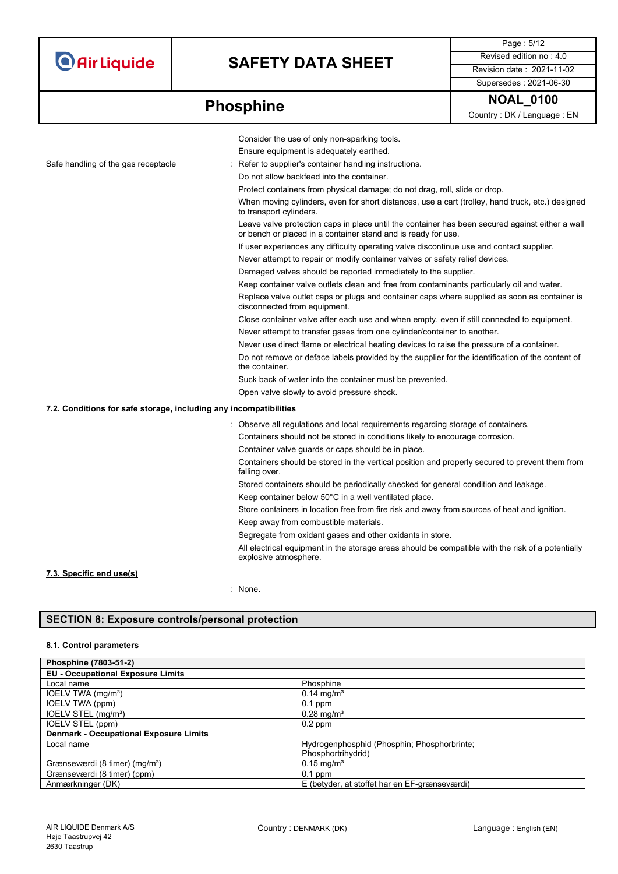## **SAFETY DATA SHEET** Revised edition no : 4.0

Supersedes : 2021-06-30

Page : 5/12

# **Phosphine** MOAL\_0100

|                                                                   | Consider the use of only non-sparking tools.                                                                                                                     |
|-------------------------------------------------------------------|------------------------------------------------------------------------------------------------------------------------------------------------------------------|
|                                                                   | Ensure equipment is adequately earthed.                                                                                                                          |
| Safe handling of the gas receptacle                               | Refer to supplier's container handling instructions.                                                                                                             |
|                                                                   | Do not allow backfeed into the container.                                                                                                                        |
|                                                                   | Protect containers from physical damage; do not drag, roll, slide or drop.                                                                                       |
|                                                                   | When moving cylinders, even for short distances, use a cart (trolley, hand truck, etc.) designed<br>to transport cylinders.                                      |
|                                                                   | Leave valve protection caps in place until the container has been secured against either a wall<br>or bench or placed in a container stand and is ready for use. |
|                                                                   | If user experiences any difficulty operating valve discontinue use and contact supplier.                                                                         |
|                                                                   | Never attempt to repair or modify container valves or safety relief devices.                                                                                     |
|                                                                   | Damaged valves should be reported immediately to the supplier.                                                                                                   |
|                                                                   | Keep container valve outlets clean and free from contaminants particularly oil and water.                                                                        |
|                                                                   | Replace valve outlet caps or plugs and container caps where supplied as soon as container is<br>disconnected from equipment.                                     |
|                                                                   | Close container valve after each use and when empty, even if still connected to equipment.                                                                       |
|                                                                   | Never attempt to transfer gases from one cylinder/container to another.                                                                                          |
|                                                                   | Never use direct flame or electrical heating devices to raise the pressure of a container.                                                                       |
|                                                                   | Do not remove or deface labels provided by the supplier for the identification of the content of<br>the container.                                               |
|                                                                   | Suck back of water into the container must be prevented.                                                                                                         |
|                                                                   | Open valve slowly to avoid pressure shock.                                                                                                                       |
| 7.2. Conditions for safe storage, including any incompatibilities |                                                                                                                                                                  |
|                                                                   | : Observe all regulations and local requirements regarding storage of containers.                                                                                |
|                                                                   | Containers should not be stored in conditions likely to encourage corrosion.                                                                                     |
|                                                                   | Container valve guards or caps should be in place.                                                                                                               |
|                                                                   | Containers should be stored in the vertical position and properly secured to prevent them from<br>falling over.                                                  |
|                                                                   | Stored containers should be periodically checked for general condition and leakage.                                                                              |
|                                                                   | Keep container below 50°C in a well ventilated place.                                                                                                            |
|                                                                   | Store containers in location free from fire risk and away from sources of heat and ignition.                                                                     |
|                                                                   | Keep away from combustible materials.                                                                                                                            |
|                                                                   | Segregate from oxidant gases and other oxidants in store.                                                                                                        |
|                                                                   | All electrical equipment in the storage areas should be compatible with the risk of a potentially<br>explosive atmosphere.                                       |
| 7.3. Specific end use(s)                                          |                                                                                                                                                                  |
|                                                                   | $\cdot$ None                                                                                                                                                     |

: None.

### **SECTION 8: Exposure controls/personal protection**

### **8.1. Control parameters**

| Phosphine (7803-51-2)                         |                                               |
|-----------------------------------------------|-----------------------------------------------|
| <b>EU - Occupational Exposure Limits</b>      |                                               |
| Local name                                    | Phosphine                                     |
| IOELV TWA (mg/m <sup>3</sup> )                | $0.14 \text{ mg/m}^3$                         |
| IOELV TWA (ppm)                               | $0.1$ ppm                                     |
| IOELV STEL (mg/m <sup>3</sup> )               | $0.28 \text{ mg/m}^3$                         |
| <b>IOELV STEL (ppm)</b>                       | $0.2$ ppm                                     |
| <b>Denmark - Occupational Exposure Limits</b> |                                               |
| Local name                                    | Hydrogenphosphid (Phosphin; Phosphorbrinte;   |
|                                               | Phosphortrihydrid)                            |
| Grænseværdi (8 timer) (mg/m <sup>3</sup> )    | $0.15 \text{ mg/m}^3$                         |
| Grænseværdi (8 timer) (ppm)                   | $0.1$ ppm                                     |
| Anmærkninger (DK)                             | E (betyder, at stoffet har en EF-grænseværdi) |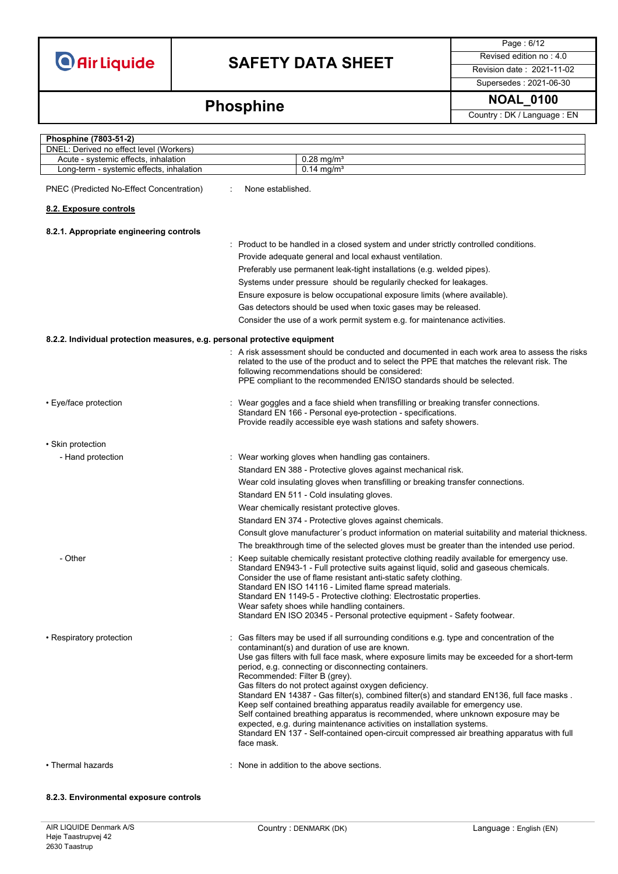## **SAFETY DATA SHEET** Revised edition no : 4.0

Page : 6/12

Supersedes : 2021-06-30

# **Phosphine** MOAL\_0100

| Phosphine (7803-51-2)                                                           |                                                                                                                                                                                                                                                                                                                                                                                                                                                                                                                                                                                                                                                                                                                                                                                                                                                   |
|---------------------------------------------------------------------------------|---------------------------------------------------------------------------------------------------------------------------------------------------------------------------------------------------------------------------------------------------------------------------------------------------------------------------------------------------------------------------------------------------------------------------------------------------------------------------------------------------------------------------------------------------------------------------------------------------------------------------------------------------------------------------------------------------------------------------------------------------------------------------------------------------------------------------------------------------|
| DNEL: Derived no effect level (Workers)<br>Acute - systemic effects, inhalation | $0.28$ mg/m <sup>3</sup>                                                                                                                                                                                                                                                                                                                                                                                                                                                                                                                                                                                                                                                                                                                                                                                                                          |
| Long-term - systemic effects, inhalation                                        | $0.14$ mg/m <sup>3</sup>                                                                                                                                                                                                                                                                                                                                                                                                                                                                                                                                                                                                                                                                                                                                                                                                                          |
|                                                                                 |                                                                                                                                                                                                                                                                                                                                                                                                                                                                                                                                                                                                                                                                                                                                                                                                                                                   |
| PNEC (Predicted No-Effect Concentration)                                        | None established.                                                                                                                                                                                                                                                                                                                                                                                                                                                                                                                                                                                                                                                                                                                                                                                                                                 |
| 8.2. Exposure controls                                                          |                                                                                                                                                                                                                                                                                                                                                                                                                                                                                                                                                                                                                                                                                                                                                                                                                                                   |
| 8.2.1. Appropriate engineering controls                                         |                                                                                                                                                                                                                                                                                                                                                                                                                                                                                                                                                                                                                                                                                                                                                                                                                                                   |
|                                                                                 | : Product to be handled in a closed system and under strictly controlled conditions.                                                                                                                                                                                                                                                                                                                                                                                                                                                                                                                                                                                                                                                                                                                                                              |
|                                                                                 | Provide adequate general and local exhaust ventilation.                                                                                                                                                                                                                                                                                                                                                                                                                                                                                                                                                                                                                                                                                                                                                                                           |
|                                                                                 | Preferably use permanent leak-tight installations (e.g. welded pipes).                                                                                                                                                                                                                                                                                                                                                                                                                                                                                                                                                                                                                                                                                                                                                                            |
|                                                                                 | Systems under pressure should be regularily checked for leakages.                                                                                                                                                                                                                                                                                                                                                                                                                                                                                                                                                                                                                                                                                                                                                                                 |
|                                                                                 | Ensure exposure is below occupational exposure limits (where available).                                                                                                                                                                                                                                                                                                                                                                                                                                                                                                                                                                                                                                                                                                                                                                          |
|                                                                                 | Gas detectors should be used when toxic gases may be released.                                                                                                                                                                                                                                                                                                                                                                                                                                                                                                                                                                                                                                                                                                                                                                                    |
|                                                                                 | Consider the use of a work permit system e.g. for maintenance activities.                                                                                                                                                                                                                                                                                                                                                                                                                                                                                                                                                                                                                                                                                                                                                                         |
| 8.2.2. Individual protection measures, e.g. personal protective equipment       |                                                                                                                                                                                                                                                                                                                                                                                                                                                                                                                                                                                                                                                                                                                                                                                                                                                   |
|                                                                                 | : A risk assessment should be conducted and documented in each work area to assess the risks<br>related to the use of the product and to select the PPE that matches the relevant risk. The<br>following recommendations should be considered:<br>PPE compliant to the recommended EN/ISO standards should be selected.                                                                                                                                                                                                                                                                                                                                                                                                                                                                                                                           |
| • Eye/face protection                                                           | Wear goggles and a face shield when transfilling or breaking transfer connections.<br>Standard EN 166 - Personal eye-protection - specifications.<br>Provide readily accessible eye wash stations and safety showers.                                                                                                                                                                                                                                                                                                                                                                                                                                                                                                                                                                                                                             |
| • Skin protection                                                               |                                                                                                                                                                                                                                                                                                                                                                                                                                                                                                                                                                                                                                                                                                                                                                                                                                                   |
| - Hand protection                                                               | : Wear working gloves when handling gas containers.                                                                                                                                                                                                                                                                                                                                                                                                                                                                                                                                                                                                                                                                                                                                                                                               |
|                                                                                 | Standard EN 388 - Protective gloves against mechanical risk.                                                                                                                                                                                                                                                                                                                                                                                                                                                                                                                                                                                                                                                                                                                                                                                      |
|                                                                                 | Wear cold insulating gloves when transfilling or breaking transfer connections.                                                                                                                                                                                                                                                                                                                                                                                                                                                                                                                                                                                                                                                                                                                                                                   |
|                                                                                 | Standard EN 511 - Cold insulating gloves.                                                                                                                                                                                                                                                                                                                                                                                                                                                                                                                                                                                                                                                                                                                                                                                                         |
|                                                                                 | Wear chemically resistant protective gloves.                                                                                                                                                                                                                                                                                                                                                                                                                                                                                                                                                                                                                                                                                                                                                                                                      |
|                                                                                 | Standard EN 374 - Protective gloves against chemicals.                                                                                                                                                                                                                                                                                                                                                                                                                                                                                                                                                                                                                                                                                                                                                                                            |
|                                                                                 | Consult glove manufacturer's product information on material suitability and material thickness.                                                                                                                                                                                                                                                                                                                                                                                                                                                                                                                                                                                                                                                                                                                                                  |
|                                                                                 | The breakthrough time of the selected gloves must be greater than the intended use period.                                                                                                                                                                                                                                                                                                                                                                                                                                                                                                                                                                                                                                                                                                                                                        |
| - Other                                                                         | Keep suitable chemically resistant protective clothing readily available for emergency use.<br>Standard EN943-1 - Full protective suits against liquid, solid and gaseous chemicals.<br>Consider the use of flame resistant anti-static safety clothing.<br>Standard EN ISO 14116 - Limited flame spread materials.<br>Standard EN 1149-5 - Protective clothing: Electrostatic properties.<br>Wear safety shoes while handling containers.<br>Standard EN ISO 20345 - Personal protective equipment - Safety footwear.                                                                                                                                                                                                                                                                                                                            |
| • Respiratory protection                                                        | Gas filters may be used if all surrounding conditions e.g. type and concentration of the<br>contaminant(s) and duration of use are known.<br>Use gas filters with full face mask, where exposure limits may be exceeded for a short-term<br>period, e.g. connecting or disconnecting containers.<br>Recommended: Filter B (grey).<br>Gas filters do not protect against oxygen deficiency.<br>Standard EN 14387 - Gas filter(s), combined filter(s) and standard EN136, full face masks.<br>Keep self contained breathing apparatus readily available for emergency use.<br>Self contained breathing apparatus is recommended, where unknown exposure may be<br>expected, e.g. during maintenance activities on installation systems.<br>Standard EN 137 - Self-contained open-circuit compressed air breathing apparatus with full<br>face mask. |
| • Thermal hazards                                                               | None in addition to the above sections.                                                                                                                                                                                                                                                                                                                                                                                                                                                                                                                                                                                                                                                                                                                                                                                                           |

#### **8.2.3. Environmental exposure controls**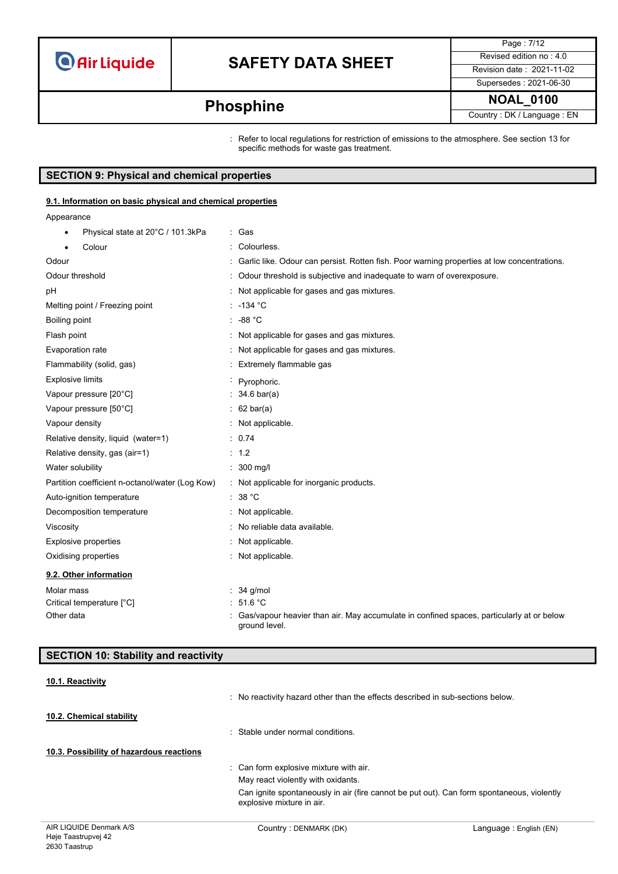## **SAFETY DATA SHEET** Revised edition no : 4.0

Page : 7/12 Supersedes : 2021-06-30

**Phosphine NOAL\_0100 Phosphine** 

: Refer to local regulations for restriction of emissions to the atmosphere. See section 13 for specific methods for waste gas treatment.

### **SECTION 9: Physical and chemical properties**

### **9.1. Information on basic physical and chemical properties**

Appearance

| Physical state at 20°C / 101.3kPa<br>٠          | : Gas                                                                                                     |
|-------------------------------------------------|-----------------------------------------------------------------------------------------------------------|
| Colour                                          | Colourless.                                                                                               |
| Odour                                           | Garlic like. Odour can persist. Rotten fish. Poor warning properties at low concentrations.               |
| Odour threshold                                 | Odour threshold is subjective and inadequate to warn of overexposure.                                     |
| pH                                              | Not applicable for gases and gas mixtures.                                                                |
| Melting point / Freezing point                  | $-134$ °C                                                                                                 |
| Boiling point                                   | -88 °C                                                                                                    |
| Flash point                                     | Not applicable for gases and gas mixtures.                                                                |
| Evaporation rate                                | Not applicable for gases and gas mixtures.                                                                |
| Flammability (solid, gas)                       | Extremely flammable gas                                                                                   |
| <b>Explosive limits</b>                         | · Pyrophoric.                                                                                             |
| Vapour pressure [20°C]                          | $34.6 \text{ bar(a)}$                                                                                     |
| Vapour pressure [50°C]                          | $: 62 \text{ bar(a)}$                                                                                     |
| Vapour density                                  | : Not applicable.                                                                                         |
| Relative density, liquid (water=1)              | : 0.74                                                                                                    |
| Relative density, gas (air=1)                   | : 1.2                                                                                                     |
| Water solubility                                | $: 300$ mg/l                                                                                              |
| Partition coefficient n-octanol/water (Log Kow) | : Not applicable for inorganic products.                                                                  |
| Auto-ignition temperature                       | : 38 °C                                                                                                   |
| Decomposition temperature                       | : Not applicable.                                                                                         |
| Viscosity                                       | No reliable data available.                                                                               |
| <b>Explosive properties</b>                     | Not applicable.                                                                                           |
| Oxidising properties                            | : Not applicable.                                                                                         |
| 9.2. Other information                          |                                                                                                           |
| Molar mass                                      | 34 g/mol                                                                                                  |
| Critical temperature [°C]                       | : 51.6 °C                                                                                                 |
| Other data                                      | Gas/vapour heavier than air. May accumulate in confined spaces, particularly at or below<br>ground level. |

### **SECTION 10: Stability and reactivity**

### **10.1. Reactivity**

|                                          | Can ignite spontaneously in air (fire cannot be put out). Can form spontaneous, violently<br>explosive mixture in air. |
|------------------------------------------|------------------------------------------------------------------------------------------------------------------------|
|                                          | May react violently with oxidants.                                                                                     |
|                                          | : Can form explosive mixture with air.                                                                                 |
| 10.3. Possibility of hazardous reactions |                                                                                                                        |
|                                          | : Stable under normal conditions.                                                                                      |
| 10.2. Chemical stability                 |                                                                                                                        |
|                                          | : No reactivity hazard other than the effects described in sub-sections below.                                         |
|                                          |                                                                                                                        |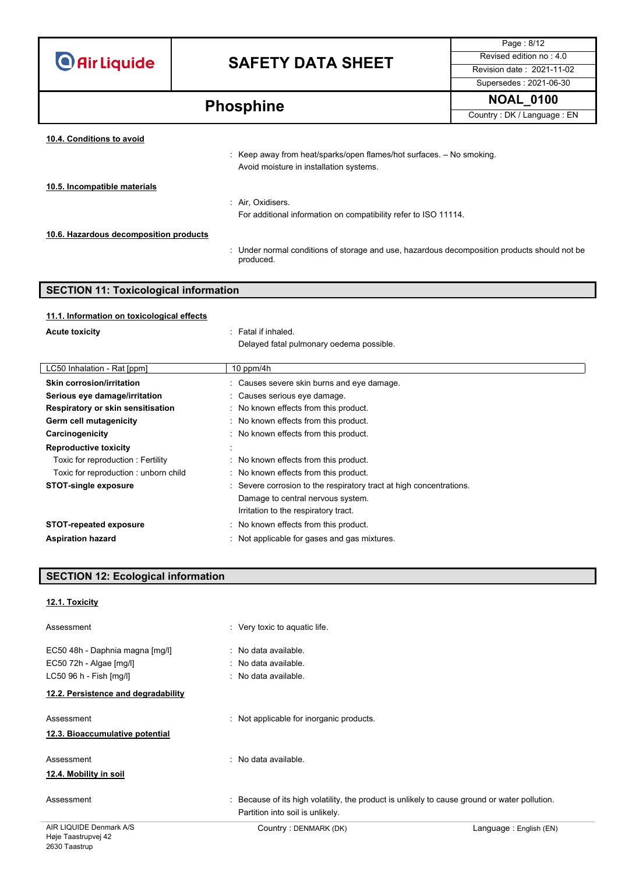## **SAFETY DATA SHEET** Revised edition no : 4.0

Page : 8/12 Supersedes : 2021-06-30

**Phosphine** MOAL\_0100

| 10.4. Conditions to avoid              |                                                                                                                              |
|----------------------------------------|------------------------------------------------------------------------------------------------------------------------------|
|                                        | $\therefore$ Keep away from heat/sparks/open flames/hot surfaces. $-$ No smoking.<br>Avoid moisture in installation systems. |
| 10.5. Incompatible materials           |                                                                                                                              |
|                                        | : Air, Oxidisers.                                                                                                            |
|                                        | For additional information on compatibility refer to ISO 11114.                                                              |
| 10.6. Hazardous decomposition products |                                                                                                                              |
|                                        | : Under normal conditions of storage and use, hazardous decomposition products should not be<br>produced.                    |

## **SECTION 11: Toxicological information**

### **11.1. Information on toxicological effects**

| <b>Acute toxicity</b>                | : Fatal if inhaled.                                                 |
|--------------------------------------|---------------------------------------------------------------------|
|                                      | Delayed fatal pulmonary oedema possible.                            |
|                                      |                                                                     |
| LC50 Inhalation - Rat [ppm]          | 10 ppm/4 $h$                                                        |
| <b>Skin corrosion/irritation</b>     | : Causes severe skin burns and eye damage.                          |
| Serious eye damage/irritation        | : Causes serious eye damage.                                        |
| Respiratory or skin sensitisation    | : No known effects from this product.                               |
| Germ cell mutagenicity               | : No known effects from this product.                               |
| Carcinogenicity                      | : No known effects from this product.                               |
| <b>Reproductive toxicity</b>         |                                                                     |
| Toxic for reproduction: Fertility    | : No known effects from this product.                               |
| Toxic for reproduction: unborn child | : No known effects from this product.                               |
| <b>STOT-single exposure</b>          | : Severe corrosion to the respiratory tract at high concentrations. |
|                                      | Damage to central nervous system.                                   |
|                                      | Irritation to the respiratory tract.                                |
| <b>STOT-repeated exposure</b>        | : No known effects from this product.                               |
| <b>Aspiration hazard</b>             | Not applicable for gases and gas mixtures.                          |
|                                      |                                                                     |

### **SECTION 12: Ecological information**

### **12.1. Toxicity**

| Assessment                                                                            | : Very toxic to aquatic life.                                                                                                     |                        |
|---------------------------------------------------------------------------------------|-----------------------------------------------------------------------------------------------------------------------------------|------------------------|
| EC50 48h - Daphnia magna [mg/l]<br>EC50 72h - Algae [mg/l]<br>LC50 96 h - Fish [mg/l] | : No data available.<br>: No data available.<br>: No data available.                                                              |                        |
| 12.2. Persistence and degradability                                                   |                                                                                                                                   |                        |
| Assessment<br>12.3. Bioaccumulative potential                                         | : Not applicable for inorganic products.                                                                                          |                        |
| Assessment<br>12.4. Mobility in soil                                                  | : No data available.                                                                                                              |                        |
| Assessment                                                                            | : Because of its high volatility, the product is unlikely to cause ground or water pollution.<br>Partition into soil is unlikely. |                        |
| AIR LIQUIDE Denmark A/S                                                               | Country: DENMARK (DK)                                                                                                             | Language: English (EN) |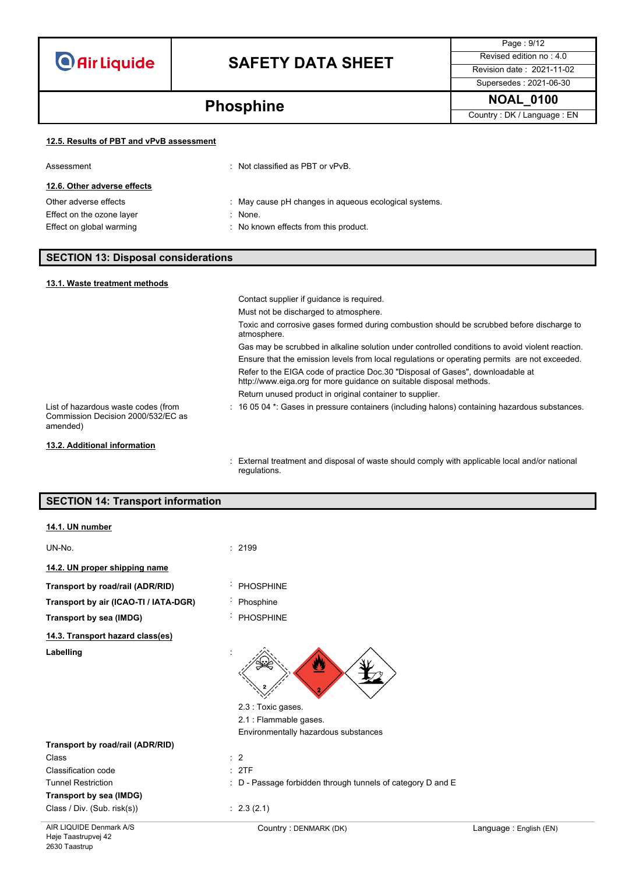## **SAFETY DATA SHEET** Revised edition no : 4.0

Page : 9/12 Supersedes : 2021-06-30

**Phosphine** MOAL\_0100

### **12.5. Results of PBT and vPvB assessment**

| Assessment                  | $\therefore$ Not classified as PBT or vPvB.           |
|-----------------------------|-------------------------------------------------------|
| 12.6. Other adverse effects |                                                       |
| Other adverse effects       | : May cause pH changes in aqueous ecological systems. |
| Effect on the ozone layer   | $\therefore$ None.                                    |
| Effect on global warming    | : No known effects from this product.                 |

### **SECTION 13: Disposal considerations**

| 13.1. Waste treatment methods                                                         |                                                                                                                                                       |
|---------------------------------------------------------------------------------------|-------------------------------------------------------------------------------------------------------------------------------------------------------|
|                                                                                       | Contact supplier if quidance is required.                                                                                                             |
|                                                                                       | Must not be discharged to atmosphere.                                                                                                                 |
|                                                                                       | Toxic and corrosive gases formed during combustion should be scrubbed before discharge to<br>atmosphere.                                              |
|                                                                                       | Gas may be scrubbed in alkaline solution under controlled conditions to avoid violent reaction.                                                       |
|                                                                                       | Ensure that the emission levels from local regulations or operating permits are not exceeded.                                                         |
|                                                                                       | Refer to the EIGA code of practice Doc.30 "Disposal of Gases", downloadable at<br>http://www.eiga.org for more guidance on suitable disposal methods. |
|                                                                                       | Return unused product in original container to supplier.                                                                                              |
| List of hazardous waste codes (from<br>Commission Decision 2000/532/EC as<br>amended) | $\pm$ 16 05 04 $^{\star}$ . Gases in pressure containers (including halons) containing hazardous substances.                                          |
| 13.2. Additional information                                                          |                                                                                                                                                       |
|                                                                                       | . External treatment and disposal of waste should comply with applicable local and/or pational                                                        |

: External treatment and disposal of waste should comply with applicable local and/or national regulations.

### **SECTION 14: Transport information**

| 14.1. UN number                       |                                                             |
|---------------------------------------|-------------------------------------------------------------|
| UN-No.                                | : 2199                                                      |
| 14.2. UN proper shipping name         |                                                             |
| Transport by road/rail (ADR/RID)      | <b>PHOSPHINE</b>                                            |
| Transport by air (ICAO-TI / IATA-DGR) | Phosphine                                                   |
| Transport by sea (IMDG)               | <b>PHOSPHINE</b>                                            |
| 14.3. Transport hazard class(es)      |                                                             |
| Labelling                             | 2.3 : Toxic gases.                                          |
|                                       | 2.1 : Flammable gases.                                      |
|                                       | Environmentally hazardous substances                        |
| Transport by road/rail (ADR/RID)      |                                                             |
| Class                                 | $\therefore$ 2                                              |
| Classification code                   | : 2TF                                                       |
| <b>Tunnel Restriction</b>             | : D - Passage forbidden through tunnels of category D and E |
| Transport by sea (IMDG)               |                                                             |
| Class / Div. (Sub. risk(s))           | : 2.3(2.1)                                                  |
|                                       |                                                             |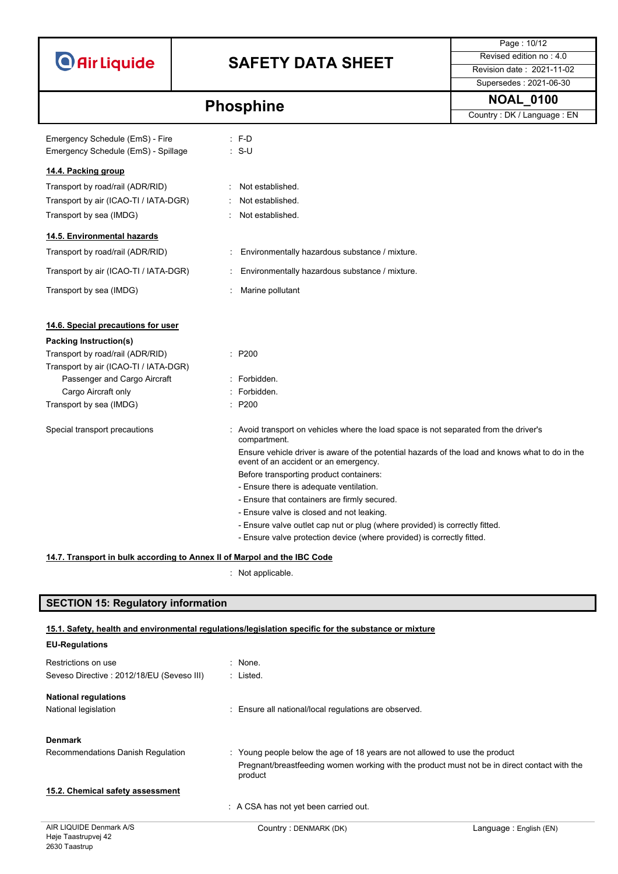| <b>O</b> Air Liquide |  |  |
|----------------------|--|--|
|                      |  |  |

## **SAFETY DATA SHEET** Revised edition no : 4.0

Page : 10/12 Supersedes : 2021-06-30

**Phosphine** NOAL\_0100

| Emergency Schedule (EmS) - Fire<br>Emergency Schedule (EmS) - Spillage   |    | $E - D$<br>$: S-U$                                                                                                                       |
|--------------------------------------------------------------------------|----|------------------------------------------------------------------------------------------------------------------------------------------|
| 14.4. Packing group                                                      |    |                                                                                                                                          |
| Transport by road/rail (ADR/RID)                                         | ÷. | Not established.                                                                                                                         |
| Transport by air (ICAO-TI / IATA-DGR)                                    |    | Not established.                                                                                                                         |
| Transport by sea (IMDG)                                                  |    | Not established.                                                                                                                         |
|                                                                          |    |                                                                                                                                          |
| 14.5. Environmental hazards                                              |    |                                                                                                                                          |
| Transport by road/rail (ADR/RID)                                         |    | Environmentally hazardous substance / mixture.                                                                                           |
| Transport by air (ICAO-TI / IATA-DGR)                                    |    | Environmentally hazardous substance / mixture.                                                                                           |
| Transport by sea (IMDG)                                                  |    | Marine pollutant                                                                                                                         |
| 14.6. Special precautions for user                                       |    |                                                                                                                                          |
| <b>Packing Instruction(s)</b>                                            |    |                                                                                                                                          |
| Transport by road/rail (ADR/RID)                                         |    | : P200                                                                                                                                   |
| Transport by air (ICAO-TI / IATA-DGR)                                    |    |                                                                                                                                          |
| Passenger and Cargo Aircraft                                             |    | · Forbidden                                                                                                                              |
| Cargo Aircraft only                                                      |    | : Forbidden.                                                                                                                             |
| Transport by sea (IMDG)                                                  |    | $\therefore$ P200                                                                                                                        |
| Special transport precautions                                            |    | : Avoid transport on vehicles where the load space is not separated from the driver's<br>compartment.                                    |
|                                                                          |    | Ensure vehicle driver is aware of the potential hazards of the load and knows what to do in the<br>event of an accident or an emergency. |
|                                                                          |    | Before transporting product containers:                                                                                                  |
|                                                                          |    | - Ensure there is adequate ventilation.                                                                                                  |
|                                                                          |    | - Ensure that containers are firmly secured.                                                                                             |
|                                                                          |    | - Ensure valve is closed and not leaking.                                                                                                |
|                                                                          |    | - Ensure valve outlet cap nut or plug (where provided) is correctly fitted.                                                              |
|                                                                          |    | - Ensure valve protection device (where provided) is correctly fitted.                                                                   |
| 14.7. Transport in bulk according to Annex II of Marpol and the IBC Code |    |                                                                                                                                          |
|                                                                          |    |                                                                                                                                          |

: Not applicable.

### **SECTION 15: Regulatory information**

2630 Taastrup

### **15.1. Safety, health and environmental regulations/legislation specific for the substance or mixture**

| <b>EU-Regulations</b>                          |                                                                                                         |                        |
|------------------------------------------------|---------------------------------------------------------------------------------------------------------|------------------------|
| Restrictions on use                            | : None.                                                                                                 |                        |
| Seveso Directive: 2012/18/EU (Seveso III)      | : Listed.                                                                                               |                        |
| <b>National regulations</b>                    |                                                                                                         |                        |
| National legislation                           | : Ensure all national/local regulations are observed.                                                   |                        |
| <b>Denmark</b>                                 |                                                                                                         |                        |
| Recommendations Danish Regulation              | : Young people below the age of 18 years are not allowed to use the product                             |                        |
|                                                | Pregnant/breastfeeding women working with the product must not be in direct contact with the<br>product |                        |
| 15.2. Chemical safety assessment               |                                                                                                         |                        |
|                                                | : A CSA has not yet been carried out.                                                                   |                        |
| AIR LIQUIDE Denmark A/S<br>Høje Taastrupvej 42 | Country: DENMARK (DK)                                                                                   | Language: English (EN) |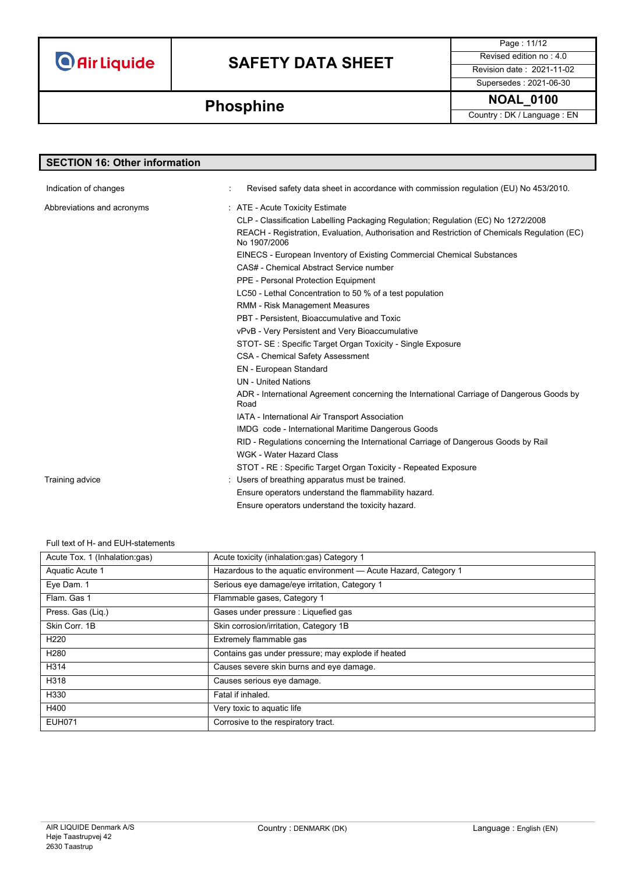## **SAFETY DATA SHEET** Revised edition no : 4.0

Page : 11/12 Supersedes : 2021-06-30

# **Phosphine** MOAL\_0100

| <b>SECTION 16: Other information</b> |                                                                                                              |
|--------------------------------------|--------------------------------------------------------------------------------------------------------------|
|                                      |                                                                                                              |
| Indication of changes                | Revised safety data sheet in accordance with commission regulation (EU) No 453/2010.                         |
| Abbreviations and acronyms           | : ATE - Acute Toxicity Estimate                                                                              |
|                                      | CLP - Classification Labelling Packaging Regulation; Regulation (EC) No 1272/2008                            |
|                                      | REACH - Registration, Evaluation, Authorisation and Restriction of Chemicals Regulation (EC)<br>No 1907/2006 |
|                                      | EINECS - European Inventory of Existing Commercial Chemical Substances                                       |
|                                      | CAS# - Chemical Abstract Service number                                                                      |
|                                      | PPE - Personal Protection Equipment                                                                          |
|                                      | LC50 - Lethal Concentration to 50 % of a test population                                                     |
|                                      | <b>RMM - Risk Management Measures</b>                                                                        |
|                                      | PBT - Persistent, Bioaccumulative and Toxic                                                                  |
|                                      | vPvB - Very Persistent and Very Bioaccumulative                                                              |
|                                      | STOT- SE: Specific Target Organ Toxicity - Single Exposure                                                   |
|                                      | <b>CSA - Chemical Safety Assessment</b>                                                                      |
|                                      | EN - European Standard                                                                                       |
|                                      | <b>UN</b> - United Nations                                                                                   |
|                                      | ADR - International Agreement concerning the International Carriage of Dangerous Goods by<br>Road            |
|                                      | IATA - International Air Transport Association                                                               |
|                                      | IMDG code - International Maritime Dangerous Goods                                                           |
|                                      | RID - Regulations concerning the International Carriage of Dangerous Goods by Rail                           |
|                                      | WGK - Water Hazard Class                                                                                     |
|                                      | STOT - RE : Specific Target Organ Toxicity - Repeated Exposure                                               |
| Training advice                      | : Users of breathing apparatus must be trained.                                                              |
|                                      | Ensure operators understand the flammability hazard.                                                         |
|                                      | Ensure operators understand the toxicity hazard.                                                             |

#### Full text of H- and EUH-statements

| Acute Tox. 1 (Inhalation:gas) | Acute toxicity (inhalation:gas) Category 1                      |
|-------------------------------|-----------------------------------------------------------------|
| Aquatic Acute 1               | Hazardous to the aquatic environment - Acute Hazard, Category 1 |
| Eye Dam. 1                    | Serious eye damage/eye irritation, Category 1                   |
| Flam, Gas 1                   | Flammable gases, Category 1                                     |
| Press. Gas (Liq.)             | Gases under pressure : Liquefied gas                            |
| Skin Corr. 1B                 | Skin corrosion/irritation, Category 1B                          |
| H <sub>220</sub>              | Extremely flammable gas                                         |
| H <sub>280</sub>              | Contains gas under pressure; may explode if heated              |
| H314                          | Causes severe skin burns and eye damage.                        |
| H318                          | Causes serious eye damage.                                      |
| H330                          | Fatal if inhaled.                                               |
| H400                          | Very toxic to aquatic life                                      |
| <b>EUH071</b>                 | Corrosive to the respiratory tract.                             |